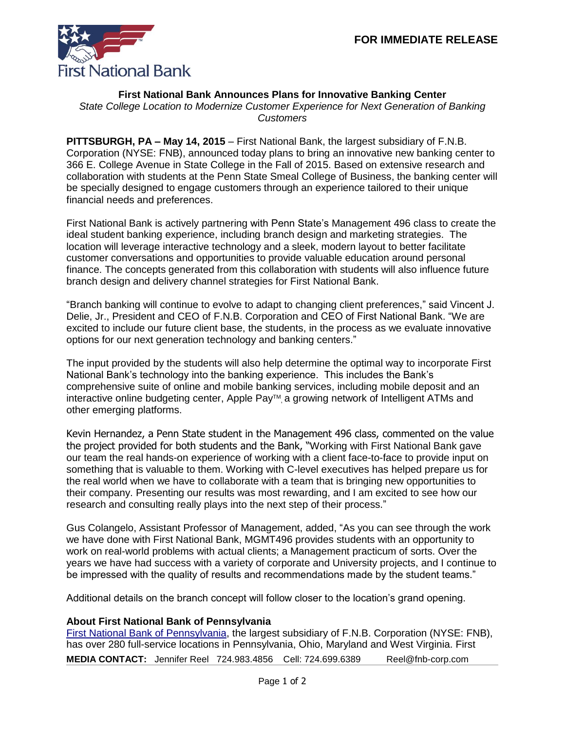

## **First National Bank Announces Plans for Innovative Banking Center**

*State College Location to Modernize Customer Experience for Next Generation of Banking Customers*

**PITTSBURGH, PA – May 14, 2015** – First National Bank, the largest subsidiary of F.N.B. Corporation (NYSE: FNB), announced today plans to bring an innovative new banking center to 366 E. College Avenue in State College in the Fall of 2015. Based on extensive research and collaboration with students at the Penn State Smeal College of Business, the banking center will be specially designed to engage customers through an experience tailored to their unique financial needs and preferences.

First National Bank is actively partnering with Penn State's Management 496 class to create the ideal student banking experience, including branch design and marketing strategies. The location will leverage interactive technology and a sleek, modern layout to better facilitate customer conversations and opportunities to provide valuable education around personal finance. The concepts generated from this collaboration with students will also influence future branch design and delivery channel strategies for First National Bank.

"Branch banking will continue to evolve to adapt to changing client preferences," said Vincent J. Delie, Jr., President and CEO of F.N.B. Corporation and CEO of First National Bank. "We are excited to include our future client base, the students, in the process as we evaluate innovative options for our next generation technology and banking centers."

The input provided by the students will also help determine the optimal way to incorporate First National Bank's technology into the banking experience. This includes the Bank's comprehensive suite of online and mobile banking services, including mobile deposit and an interactive online budgeting center, Apple Pay™ a growing network of Intelligent ATMs and other emerging platforms.

Kevin Hernandez, a Penn State student in the Management 496 class, commented on the value the project provided for both students and the Bank, "Working with First National Bank gave our team the real hands-on experience of working with a client face-to-face to provide input on something that is valuable to them. Working with C-level executives has helped prepare us for the real world when we have to collaborate with a team that is bringing new opportunities to their company. Presenting our results was most rewarding, and I am excited to see how our research and consulting really plays into the next step of their process."

Gus Colangelo, Assistant Professor of Management, added, "As you can see through the work we have done with First National Bank, MGMT496 provides students with an opportunity to work on real-world problems with actual clients; a Management practicum of sorts. Over the years we have had success with a variety of corporate and University projects, and I continue to be impressed with the quality of results and recommendations made by the student teams."

Additional details on the branch concept will follow closer to the location's grand opening.

## **About First National Bank of Pennsylvania**

**MEDIA CONTACT:** Jennifer Reel 724.983.4856 Cell: 724.699.6389 Reel@fnb-corp.com [First National Bank of Pennsylvania,](https://www.fnb-online.com/) the largest subsidiary of F.N.B. Corporation (NYSE: FNB), has over 280 full-service locations in Pennsylvania, Ohio, Maryland and West Virginia. First